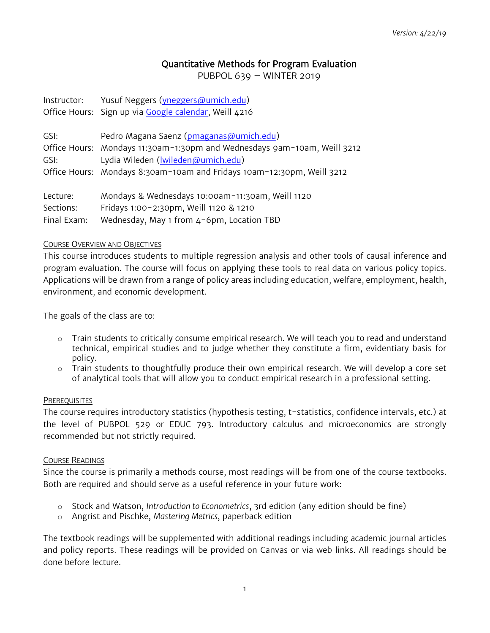# Quantitative Methods for Program Evaluation

PUBPOL 639 – WINTER 2019

| Instructor: | Yusuf Neggers (yneggers@umich.edu)                    |
|-------------|-------------------------------------------------------|
|             | Office Hours: Sign up via Google calendar, Weill 4216 |

| GSI:      | Pedro Magana Saenz (pmaganas@umich.edu)                                  |
|-----------|--------------------------------------------------------------------------|
|           | Office Hours: Mondays 11:30am-1:30pm and Wednesdays 9am-10am, Weill 3212 |
| GSI:      | Lydia Wileden (Iwileden@umich.edu)                                       |
|           | Office Hours: Mondays 8:30am-10am and Fridays 10am-12:30pm, Weill 3212   |
|           |                                                                          |
| Lecture:  | Mondays & Wednesdays 10:00am-11:30am, Weill 1120                         |
| Sections: | Fridays 1:00-2:30pm, Weill 1120 & 1210                                   |

Final Exam: Wednesday, May 1 from 4-6pm, Location TBD

#### COURSE OVERVIEW AND OBJECTIVES

This course introduces students to multiple regression analysis and other tools of causal inference and program evaluation. The course will focus on applying these tools to real data on various policy topics. Applications will be drawn from a range of policy areas including education, welfare, employment, health, environment, and economic development.

The goals of the class are to:

- o Train students to critically consume empirical research. We will teach you to read and understand technical, empirical studies and to judge whether they constitute a firm, evidentiary basis for policy.
- o Train students to thoughtfully produce their own empirical research. We will develop a core set of analytical tools that will allow you to conduct empirical research in a professional setting.

### **PREREQUISITES**

The course requires introductory statistics (hypothesis testing, t-statistics, confidence intervals, etc.) at the level of PUBPOL 529 or EDUC 793. Introductory calculus and microeconomics are strongly recommended but not strictly required.

### COURSE READINGS

Since the course is primarily a methods course, most readings will be from one of the course textbooks. Both are required and should serve as a useful reference in your future work:

- o Stock and Watson, *Introduction to Econometrics*, 3rd edition (any edition should be fine)
- o Angrist and Pischke, *Mastering Metrics*, paperback edition

The textbook readings will be supplemented with additional readings including academic journal articles and policy reports. These readings will be provided on Canvas or via web links. All readings should be done before lecture.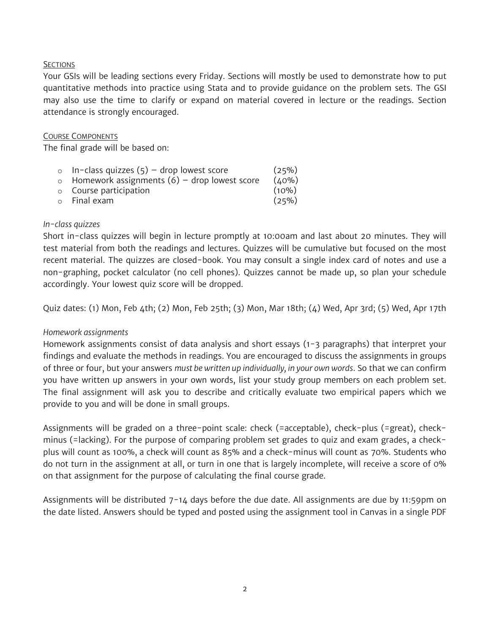### **SECTIONS**

Your GSIs will be leading sections every Friday. Sections will mostly be used to demonstrate how to put quantitative methods into practice using Stata and to provide guidance on the problem sets. The GSI may also use the time to clarify or expand on material covered in lecture or the readings. Section attendance is strongly encouraged.

### COURSE COMPONENTS

The final grade will be based on:

| In-class quizzes $(5)$ - drop lowest score           | (25%)    |
|------------------------------------------------------|----------|
| $\circ$ Homework assignments (6) – drop lowest score | (40%)    |
| o Course participation                               | $(10\%)$ |
| o Final exam                                         | (25%)    |
|                                                      |          |

### *In-class quizzes*

Short in-class quizzes will begin in lecture promptly at 10:00am and last about 20 minutes. They will test material from both the readings and lectures. Quizzes will be cumulative but focused on the most recent material. The quizzes are closed-book. You may consult a single index card of notes and use a non-graphing, pocket calculator (no cell phones). Quizzes cannot be made up, so plan your schedule accordingly. Your lowest quiz score will be dropped.

Quiz dates: (1) Mon, Feb 4th; (2) Mon, Feb 25th; (3) Mon, Mar 18th; (4) Wed, Apr 3rd; (5) Wed, Apr 17th

### *Homework assignments*

Homework assignments consist of data analysis and short essays (1-3 paragraphs) that interpret your findings and evaluate the methods in readings. You are encouraged to discuss the assignments in groups of three or four, but your answers *must be written up individually, in your own words*. So that we can confirm you have written up answers in your own words, list your study group members on each problem set. The final assignment will ask you to describe and critically evaluate two empirical papers which we provide to you and will be done in small groups.

Assignments will be graded on a three-point scale: check (=acceptable), check-plus (=great), checkminus (=lacking). For the purpose of comparing problem set grades to quiz and exam grades, a checkplus will count as 100%, a check will count as 85% and a check-minus will count as 70%. Students who do not turn in the assignment at all, or turn in one that is largely incomplete, will receive a score of 0% on that assignment for the purpose of calculating the final course grade.

Assignments will be distributed 7-14 days before the due date. All assignments are due by 11:59pm on the date listed. Answers should be typed and posted using the assignment tool in Canvas in a single PDF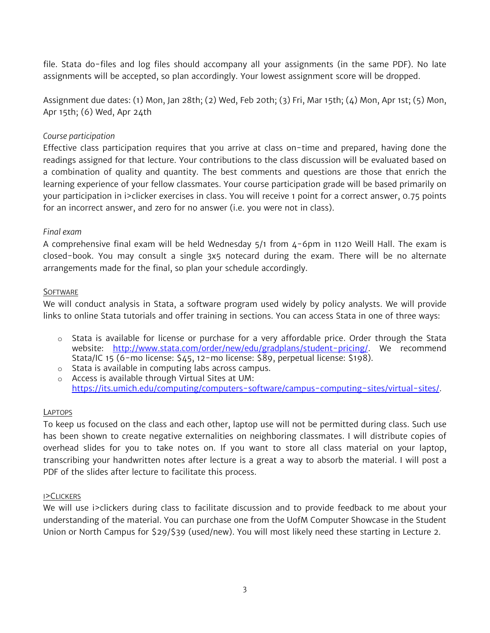file. Stata do-files and log files should accompany all your assignments (in the same PDF). No late assignments will be accepted, so plan accordingly. Your lowest assignment score will be dropped.

Assignment due dates: (1) Mon, Jan 28th; (2) Wed, Feb 20th; (3) Fri, Mar 15th; (4) Mon, Apr 1st; (5) Mon, Apr 15th; (6) Wed, Apr 24th

## *Course participation*

Effective class participation requires that you arrive at class on-time and prepared, having done the readings assigned for that lecture. Your contributions to the class discussion will be evaluated based on a combination of quality and quantity. The best comments and questions are those that enrich the learning experience of your fellow classmates. Your course participation grade will be based primarily on your participation in i>clicker exercises in class. You will receive 1 point for a correct answer, 0.75 points for an incorrect answer, and zero for no answer (i.e. you were not in class).

### *Final exam*

A comprehensive final exam will be held Wednesday 5/1 from 4-6pm in 1120 Weill Hall. The exam is closed-book. You may consult a single 3x5 notecard during the exam. There will be no alternate arrangements made for the final, so plan your schedule accordingly.

# **SOFTWARE**

We will conduct analysis in Stata, a software program used widely by policy analysts. We will provide links to online Stata tutorials and offer training in sections. You can access Stata in one of three ways:

- o Stata is available for license or purchase for a very affordable price. Order through the Stata website: [http://www.stata.com/order/new/edu/gradplans/student-pricing/.](http://www.stata.com/order/new/edu/gradplans/student-pricing/) We recommend Stata/IC 15 (6-mo license: \$45, 12-mo license: \$89, perpetual license: \$198).
- o Stata is available in computing labs across campus. o Access is available through Virtual Sites at UM: [https://its.umich.edu/computing/computers-software/campus-computing-sites/virtual-sites/.](https://its.umich.edu/computing/computers-software/campus-computing-sites/virtual-sites/)

### LAPTOPS

To keep us focused on the class and each other, laptop use will not be permitted during class. Such use has been shown to create negative externalities on neighboring classmates. I will distribute copies of overhead slides for you to take notes on. If you want to store all class material on your laptop, transcribing your handwritten notes after lecture is a great a way to absorb the material. I will post a PDF of the slides after lecture to facilitate this process.

### I>CLICKERS

We will use i>clickers during class to facilitate discussion and to provide feedback to me about your understanding of the material. You can purchase one from the UofM Computer Showcase in the Student Union or North Campus for \$29/\$39 (used/new). You will most likely need these starting in Lecture 2.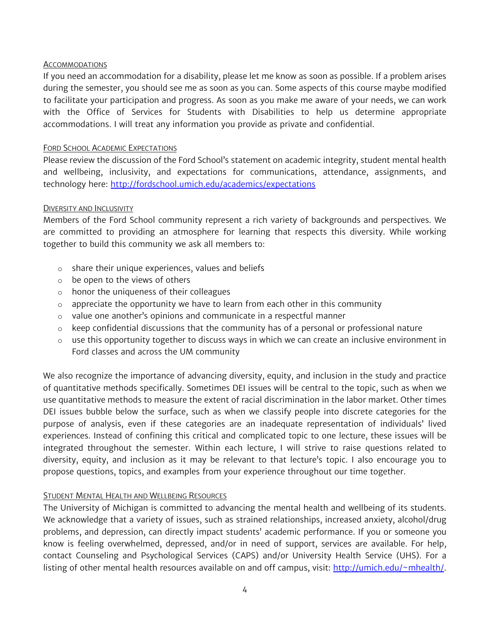### **ACCOMMODATIONS**

If you need an accommodation for a disability, please let me know as soon as possible. If a problem arises during the semester, you should see me as soon as you can. Some aspects of this course maybe modified to facilitate your participation and progress. As soon as you make me aware of your needs, we can work with the Office of Services for Students with Disabilities to help us determine appropriate accommodations. I will treat any information you provide as private and confidential.

### FORD SCHOOL ACADEMIC EXPECTATIONS

Please review the discussion of the Ford School's statement on academic integrity, student mental health and wellbeing, inclusivity, and expectations for communications, attendance, assignments, and technology here:<http://fordschool.umich.edu/academics/expectations>

### DIVERSITY AND INCLUSIVITY

Members of the Ford School community represent a rich variety of backgrounds and perspectives. We are committed to providing an atmosphere for learning that respects this diversity. While working together to build this community we ask all members to:

- o share their unique experiences, values and beliefs
- o be open to the views of others
- o honor the uniqueness of their colleagues
- $\circ$  appreciate the opportunity we have to learn from each other in this community
- o value one another's opinions and communicate in a respectful manner
- $\circ$  keep confidential discussions that the community has of a personal or professional nature
- $\circ$  use this opportunity together to discuss ways in which we can create an inclusive environment in Ford classes and across the UM community

We also recognize the importance of advancing diversity, equity, and inclusion in the study and practice of quantitative methods specifically. Sometimes DEI issues will be central to the topic, such as when we use quantitative methods to measure the extent of racial discrimination in the labor market. Other times DEI issues bubble below the surface, such as when we classify people into discrete categories for the purpose of analysis, even if these categories are an inadequate representation of individuals' lived experiences. Instead of confining this critical and complicated topic to one lecture, these issues will be integrated throughout the semester. Within each lecture, I will strive to raise questions related to diversity, equity, and inclusion as it may be relevant to that lecture's topic. I also encourage you to propose questions, topics, and examples from your experience throughout our time together.

### STUDENT MENTAL HEALTH AND WELLBEING RESOURCES

The University of Michigan is committed to advancing the mental health and wellbeing of its students. We acknowledge that a variety of issues, such as strained relationships, increased anxiety, alcohol/drug problems, and depression, can directly impact students' academic performance. If you or someone you know is feeling overwhelmed, depressed, and/or in need of support, services are available. For help, contact Counseling and Psychological Services (CAPS) and/or University Health Service (UHS). For a listing of other mental health resources available on and off campus, visit: [http://umich.edu/~mhealth/.](http://umich.edu/%7Emhealth/)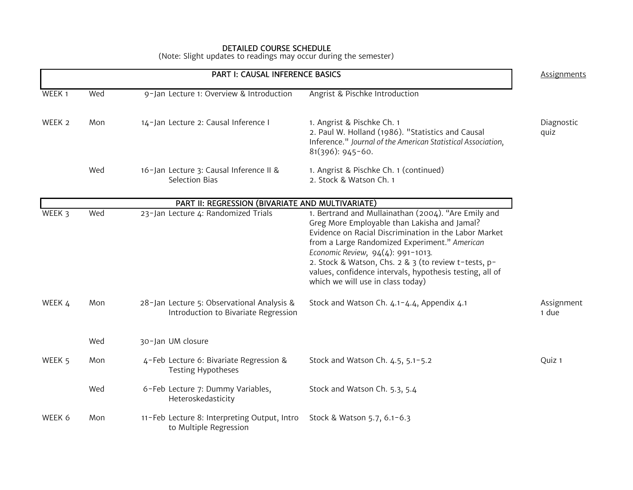#### DETAILED COURSE SCHEDULE

(Note: Slight updates to readings may occur during the semester)

| <b>PART I: CAUSAL INFERENCE BASICS</b> |     | <b>Assignments</b>                                                                 |                                                                                                                                                                                                                                                                                                                                                                                                             |                     |
|----------------------------------------|-----|------------------------------------------------------------------------------------|-------------------------------------------------------------------------------------------------------------------------------------------------------------------------------------------------------------------------------------------------------------------------------------------------------------------------------------------------------------------------------------------------------------|---------------------|
| WEEK 1                                 | Wed | 9-Jan Lecture 1: Overview & Introduction                                           | Angrist & Pischke Introduction                                                                                                                                                                                                                                                                                                                                                                              |                     |
| WEEK 2                                 | Mon | 14-Jan Lecture 2: Causal Inference I                                               | 1. Angrist & Pischke Ch. 1<br>2. Paul W. Holland (1986). "Statistics and Causal<br>Inference." Journal of the American Statistical Association,<br>$81(396): 945-60.$                                                                                                                                                                                                                                       | Diagnostic<br>quiz  |
|                                        | Wed | 16-Jan Lecture 3: Causal Inference II &<br><b>Selection Bias</b>                   | 1. Angrist & Pischke Ch. 1 (continued)<br>2. Stock & Watson Ch. 1                                                                                                                                                                                                                                                                                                                                           |                     |
|                                        |     | PART II: REGRESSION (BIVARIATE AND MULTIVARIATE)                                   |                                                                                                                                                                                                                                                                                                                                                                                                             |                     |
| WEEK 3                                 | Wed | 23-Jan Lecture 4: Randomized Trials                                                | 1. Bertrand and Mullainathan (2004). "Are Emily and<br>Greg More Employable than Lakisha and Jamal?<br>Evidence on Racial Discrimination in the Labor Market<br>from a Large Randomized Experiment." American<br>Economic Review, 94(4): 991-1013.<br>2. Stock & Watson, Chs. 2 & 3 (to review t-tests, p-<br>values, confidence intervals, hypothesis testing, all of<br>which we will use in class today) |                     |
| WEEK 4                                 | Mon | 28-Jan Lecture 5: Observational Analysis &<br>Introduction to Bivariate Regression | Stock and Watson Ch. 4.1-4.4, Appendix 4.1                                                                                                                                                                                                                                                                                                                                                                  | Assignment<br>1 due |
|                                        | Wed | 30-Jan UM closure                                                                  |                                                                                                                                                                                                                                                                                                                                                                                                             |                     |
| WEEK 5                                 | Mon | 4-Feb Lecture 6: Bivariate Regression &<br><b>Testing Hypotheses</b>               | Stock and Watson Ch. 4.5, 5.1-5.2                                                                                                                                                                                                                                                                                                                                                                           | Quiz 1              |
|                                        | Wed | 6-Feb Lecture 7: Dummy Variables,<br>Heteroskedasticity                            | Stock and Watson Ch. 5.3, 5.4                                                                                                                                                                                                                                                                                                                                                                               |                     |
| WEEK 6                                 | Mon | 11-Feb Lecture 8: Interpreting Output, Intro<br>to Multiple Regression             | Stock & Watson 5.7, 6.1-6.3                                                                                                                                                                                                                                                                                                                                                                                 |                     |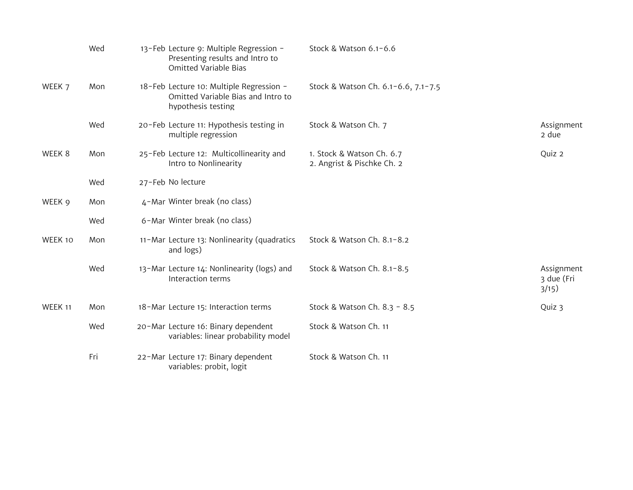|         | Wed | 13-Feb Lecture 9: Multiple Regression -<br>Presenting results and Intro to<br><b>Omitted Variable Bias</b> | Stock & Watson 6.1-6.6                                  |                                   |
|---------|-----|------------------------------------------------------------------------------------------------------------|---------------------------------------------------------|-----------------------------------|
| WEEK 7  | Mon | 18-Feb Lecture 10: Multiple Regression -<br>Omitted Variable Bias and Intro to<br>hypothesis testing       | Stock & Watson Ch. 6.1-6.6, 7.1-7.5                     |                                   |
|         | Wed | 20-Feb Lecture 11: Hypothesis testing in<br>multiple regression                                            | Stock & Watson Ch. 7                                    | Assignment<br>2 due               |
| WEEK 8  | Mon | 25-Feb Lecture 12: Multicollinearity and<br>Intro to Nonlinearity                                          | 1. Stock & Watson Ch. 6.7<br>2. Angrist & Pischke Ch. 2 | Quiz 2                            |
|         | Wed | 27-Feb No lecture                                                                                          |                                                         |                                   |
| WEEK 9  | Mon | 4-Mar Winter break (no class)                                                                              |                                                         |                                   |
|         | Wed | 6-Mar Winter break (no class)                                                                              |                                                         |                                   |
| WEEK 10 | Mon | 11-Mar Lecture 13: Nonlinearity (quadratics<br>and logs)                                                   | Stock & Watson Ch. 8.1-8.2                              |                                   |
|         | Wed | 13-Mar Lecture 14: Nonlinearity (logs) and<br>Interaction terms                                            | Stock & Watson Ch. 8.1-8.5                              | Assignment<br>3 due (Fri<br>3/15) |
| WEEK 11 | Mon | 18-Mar Lecture 15: Interaction terms                                                                       | Stock & Watson Ch. 8.3 - 8.5                            | Quiz 3                            |
|         | Wed | 20-Mar Lecture 16: Binary dependent<br>variables: linear probability model                                 | Stock & Watson Ch. 11                                   |                                   |
|         | Fri | 22-Mar Lecture 17: Binary dependent<br>variables: probit, logit                                            | Stock & Watson Ch. 11                                   |                                   |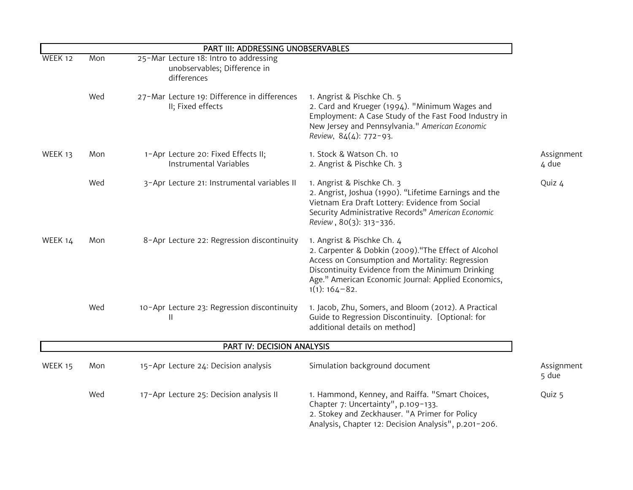| PART III: ADDRESSING UNOBSERVABLES |     |                                                                                       |                                                                                                                                                                                                                                                                           |                     |
|------------------------------------|-----|---------------------------------------------------------------------------------------|---------------------------------------------------------------------------------------------------------------------------------------------------------------------------------------------------------------------------------------------------------------------------|---------------------|
| WEEK 12                            | Mon | 25-Mar Lecture 18: Intro to addressing<br>unobservables; Difference in<br>differences |                                                                                                                                                                                                                                                                           |                     |
|                                    | Wed | 27-Mar Lecture 19: Difference in differences<br>II; Fixed effects                     | 1. Angrist & Pischke Ch. 5<br>2. Card and Krueger (1994). "Minimum Wages and<br>Employment: A Case Study of the Fast Food Industry in<br>New Jersey and Pennsylvania." American Economic<br>Review, 84(4): 772-93.                                                        |                     |
| WEEK 13                            | Mon | 1-Apr Lecture 20: Fixed Effects II;<br>Instrumental Variables                         | 1. Stock & Watson Ch. 10<br>2. Angrist & Pischke Ch. 3                                                                                                                                                                                                                    | Assignment<br>4 due |
|                                    | Wed | 3-Apr Lecture 21: Instrumental variables II                                           | 1. Angrist & Pischke Ch. 3<br>2. Angrist, Joshua (1990). "Lifetime Earnings and the<br>Vietnam Era Draft Lottery: Evidence from Social<br>Security Administrative Records" American Economic<br>Review, 80(3): 313-336.                                                   | Quiz 4              |
| WEEK 14                            | Mon | 8-Apr Lecture 22: Regression discontinuity                                            | 1. Angrist & Pischke Ch. 4<br>2. Carpenter & Dobkin (2009). "The Effect of Alcohol<br>Access on Consumption and Mortality: Regression<br>Discontinuity Evidence from the Minimum Drinking<br>Age." American Economic Journal: Applied Economics,<br>$1(1)$ : $164 - 82$ . |                     |
|                                    | Wed | 10-Apr Lecture 23: Regression discontinuity<br>Ш                                      | 1. Jacob, Zhu, Somers, and Bloom (2012). A Practical<br>Guide to Regression Discontinuity. [Optional: for<br>additional details on method]                                                                                                                                |                     |
| PART IV: DECISION ANALYSIS         |     |                                                                                       |                                                                                                                                                                                                                                                                           |                     |
| WEEK 15                            | Mon | 15-Apr Lecture 24: Decision analysis                                                  | Simulation background document                                                                                                                                                                                                                                            | Assignment<br>5 due |
|                                    | Wed | 17-Apr Lecture 25: Decision analysis II                                               | 1. Hammond, Kenney, and Raiffa. "Smart Choices,<br>Chapter 7: Uncertainty", p.109-133.<br>2. Stokey and Zeckhauser. "A Primer for Policy<br>Analysis, Chapter 12: Decision Analysis", p.201-206.                                                                          | Quiz 5              |